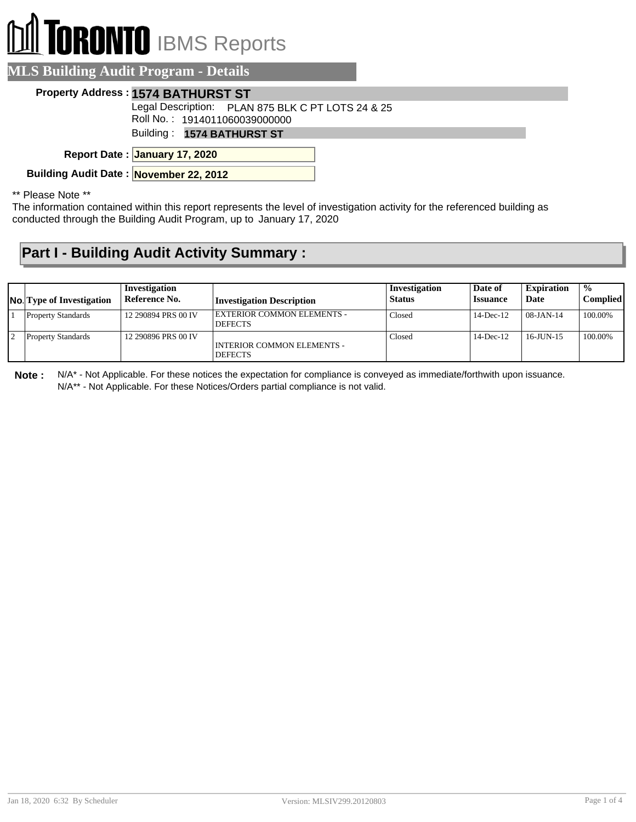# **IRONTO** IBMS Reports

#### **MLS Building Audit Program - Details**

#### **Property Address : 1574 BATHURST ST**

Legal Description: PLAN 875 BLK C PT LOTS 24 & 25

Roll No. : 1914011060039000000

Building : **1574 BATHURST ST**

**January 17, 2020 Report Date :**

**Building Audit Date : November 22, 2012**

\*\* Please Note \*\*

The information contained within this report represents the level of investigation activity for the referenced building as conducted through the Building Audit Program, up to January 17, 2020

### **Part I - Building Audit Activity Summary :**

| <b>No.</b> Type of Investigation | Investigation<br>Reference No. | <b>Investigation Description</b>             | Investigation<br><b>Status</b> | Date of<br><b>Issuance</b> | <b>Expiration</b><br>Date | $\frac{1}{2}$<br><b>Complied</b> |
|----------------------------------|--------------------------------|----------------------------------------------|--------------------------------|----------------------------|---------------------------|----------------------------------|
| <b>Property Standards</b>        | 12 290894 PRS 00 IV            | EXTERIOR COMMON ELEMENTS -<br><b>DEFECTS</b> | Closed                         | $14$ -Dec- $12$            | $08-JAN-14$               | 100.00%                          |
| <b>Property Standards</b>        | 12 290896 PRS 00 IV            | INTERIOR COMMON ELEMENTS -<br><b>DEFECTS</b> | Closed                         | $14$ -Dec-12               | $16$ -JUN-15              | 100.00%                          |

**Note :** N/A\* - Not Applicable. For these notices the expectation for compliance is conveyed as immediate/forthwith upon issuance. N/A\*\* - Not Applicable. For these Notices/Orders partial compliance is not valid.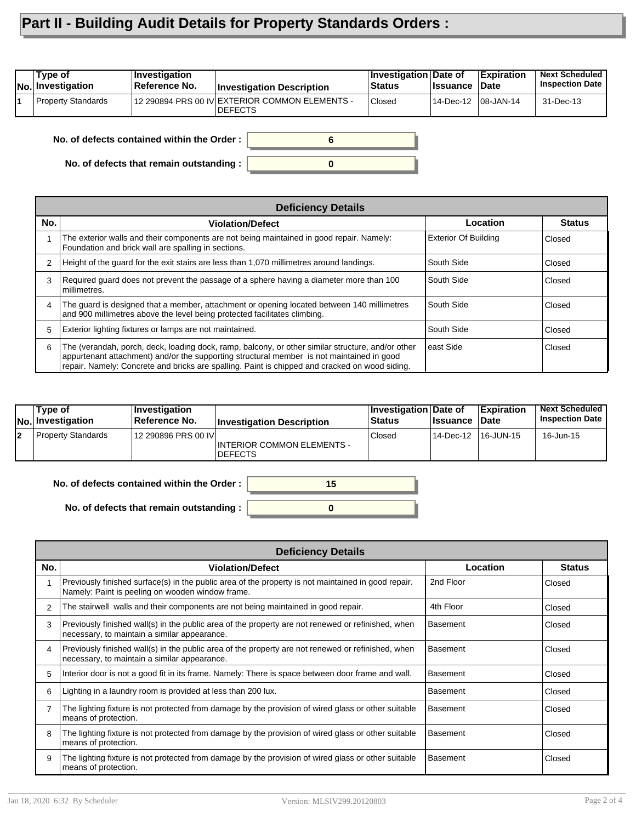## **Part II - Building Audit Details for Property Standards Orders :**

| 12 290894 PRS 00 IV EXTERIOR COMMON ELEMENTS -<br><b>Property Standards</b><br><b>Closed</b> | Type of<br><b>No. Investigation</b> | <b>Investigation</b><br>Reference No. | <b>Investigation Description</b> | <b>Investigation Date of</b><br><b>Status</b> | <b>Issuance</b>      | Expiration<br>∣Date | <b>Next Scheduled</b><br><b>Inspection Date</b> |
|----------------------------------------------------------------------------------------------|-------------------------------------|---------------------------------------|----------------------------------|-----------------------------------------------|----------------------|---------------------|-------------------------------------------------|
| IDEFECTS                                                                                     |                                     |                                       |                                  |                                               | 14-Dec-12  08-JAN-14 |                     | 31-Dec-13                                       |

**0**

**6**

**No. of defects contained within the Order :**

**No. of defects that remain outstanding :**

|     | <b>Deficiency Details</b>                                                                                                                                                                                                                                                                        |                             |               |
|-----|--------------------------------------------------------------------------------------------------------------------------------------------------------------------------------------------------------------------------------------------------------------------------------------------------|-----------------------------|---------------|
| No. | <b>Violation/Defect</b>                                                                                                                                                                                                                                                                          | Location                    | <b>Status</b> |
|     | The exterior walls and their components are not being maintained in good repair. Namely:<br>Foundation and brick wall are spalling in sections.                                                                                                                                                  | <b>Exterior Of Building</b> | Closed        |
| 2   | Height of the guard for the exit stairs are less than 1,070 millimetres around landings.                                                                                                                                                                                                         | South Side                  | Closed        |
| 3   | Required guard does not prevent the passage of a sphere having a diameter more than 100<br>millimetres.                                                                                                                                                                                          | South Side                  | Closed        |
| 4   | The guard is designed that a member, attachment or opening located between 140 millimetres<br>and 900 millimetres above the level being protected facilitates climbing.                                                                                                                          | South Side                  | Closed        |
| 5   | Exterior lighting fixtures or lamps are not maintained.                                                                                                                                                                                                                                          | South Side                  | Closed        |
| 6   | The (verandah, porch, deck, loading dock, ramp, balcony, or other similar structure, and/or other<br>appurtenant attachment) and/or the supporting structural member is not maintained in good<br>repair. Namely: Concrete and bricks are spalling. Paint is chipped and cracked on wood siding. | east Side                   | Closed        |

| Type of<br>No. Investigation | ∣Investiqation<br>⊺Reference No. | <b>Investigation Description</b>              | Investigation Date of<br><b>Status</b> | <b>I</b> ssuance | Expiration<br>∣Date | <b>Next Scheduled</b><br><b>Inspection Date I</b> |
|------------------------------|----------------------------------|-----------------------------------------------|----------------------------------------|------------------|---------------------|---------------------------------------------------|
| Property Standards           | 12 290896 PRS 00 IVI             | INTERIOR COMMON ELEMENTS -<br><b>IDEFECTS</b> | Closed                                 | 14-Dec-12        | 16-JUN-15           | 16-Jun-15                                         |



**No. of defects that remain outstanding :**

|     | <b>Deficiency Details</b>                                                                                                                               |                 |               |  |  |  |  |  |
|-----|---------------------------------------------------------------------------------------------------------------------------------------------------------|-----------------|---------------|--|--|--|--|--|
| No. | <b>Violation/Defect</b>                                                                                                                                 | Location        | <b>Status</b> |  |  |  |  |  |
|     | Previously finished surface(s) in the public area of the property is not maintained in good repair.<br>Namely: Paint is peeling on wooden window frame. | 2nd Floor       | Closed        |  |  |  |  |  |
| 2   | The stairwell walls and their components are not being maintained in good repair.                                                                       | 4th Floor       | Closed        |  |  |  |  |  |
| 3   | Previously finished wall(s) in the public area of the property are not renewed or refinished, when<br>necessary, to maintain a similar appearance.      | Basement        | Closed        |  |  |  |  |  |
| 4   | Previously finished wall(s) in the public area of the property are not renewed or refinished, when<br>necessary, to maintain a similar appearance.      | Basement        | Closed        |  |  |  |  |  |
| 5   | Interior door is not a good fit in its frame. Namely: There is space between door frame and wall.                                                       | Basement        | Closed        |  |  |  |  |  |
| 6   | Lighting in a laundry room is provided at less than 200 lux.                                                                                            | <b>Basement</b> | Closed        |  |  |  |  |  |
|     | The lighting fixture is not protected from damage by the provision of wired glass or other suitable<br>means of protection.                             | Basement        | Closed        |  |  |  |  |  |
| 8   | The lighting fixture is not protected from damage by the provision of wired glass or other suitable<br>means of protection.                             | Basement        | Closed        |  |  |  |  |  |
| 9   | The lighting fixture is not protected from damage by the provision of wired glass or other suitable<br>means of protection.                             | Basement        | Closed        |  |  |  |  |  |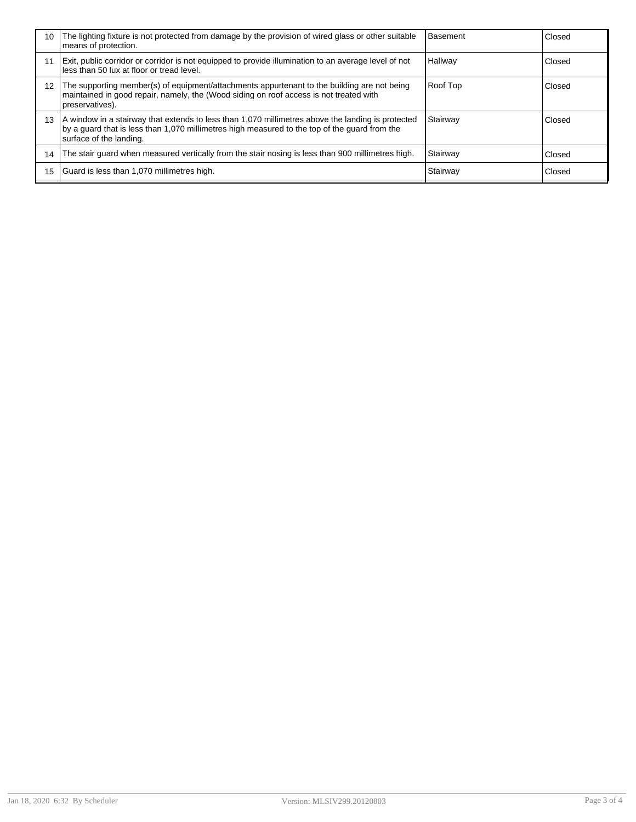| 10 | The lighting fixture is not protected from damage by the provision of wired glass or other suitable<br>means of protection.                                                                                                   | <b>Basement</b> | Closed |
|----|-------------------------------------------------------------------------------------------------------------------------------------------------------------------------------------------------------------------------------|-----------------|--------|
| 11 | Exit, public corridor or corridor is not equipped to provide illumination to an average level of not<br>less than 50 lux at floor or tread level.                                                                             | Hallway         | Closed |
| 12 | The supporting member(s) of equipment/attachments appurtenant to the building are not being<br>maintained in good repair, namely, the (Wood siding on roof access is not treated with<br>preservatives).                      | Roof Top        | Closed |
| 13 | A window in a stairway that extends to less than 1,070 millimetres above the landing is protected<br>by a quard that is less than 1,070 millimetres high measured to the top of the quard from the<br>surface of the landing. | Stairway        | Closed |
| 14 | The stair guard when measured vertically from the stair nosing is less than 900 millimetres high.                                                                                                                             | Stairway        | Closed |
| 15 | Guard is less than 1,070 millimetres high.                                                                                                                                                                                    | Stairway        | Closed |